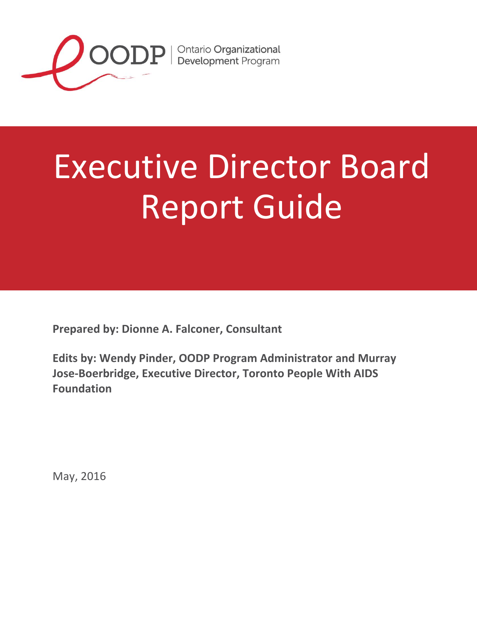

# Executive Director Board Report Guide

**Prepared by: Dionne A. Falconer, Consultant**

**Edits by: Wendy Pinder, OODP Program Administrator and Murray Jose-Boerbridge, Executive Director, Toronto People With AIDS Foundation** 

May, 2016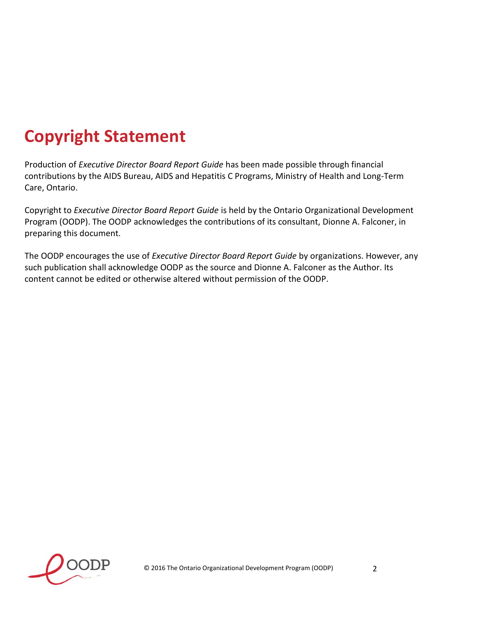# **Copyright Statement**

Production of *Executive Director Board Report Guide* has been made possible through financial contributions by the AIDS Bureau, AIDS and Hepatitis C Programs, Ministry of Health and Long-Term Care, Ontario.

Copyright to *Executive Director Board Report Guide* is held by the Ontario Organizational Development Program (OODP). The OODP acknowledges the contributions of its consultant, Dionne A. Falconer, in preparing this document.

The OODP encourages the use of *Executive Director Board Report Guide* by organizations. However, any such publication shall acknowledge OODP as the source and Dionne A. Falconer as the Author. Its content cannot be edited or otherwise altered without permission of the OODP.

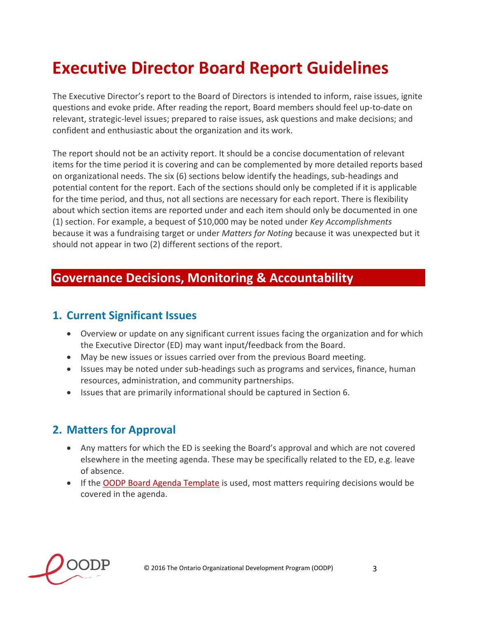# **Executive Director Board Report Guidelines**

The Executive Director's report to the Board of Directors is intended to inform, raise issues, ignite questions and evoke pride. After reading the report, Board members should feel up-to-date on relevant, strategic-level issues; prepared to raise issues, ask questions and make decisions; and confident and enthusiastic about the organization and its work.

The report should not be an activity report. It should be a concise documentation of relevant items for the time period it is covering and can be complemented by more detailed reports based on organizational needs. The six (6) sections below identify the headings, sub-headings and potential content for the report. Each of the sections should only be completed if it is applicable for the time period, and thus, not all sections are necessary for each report. There is flexibility about which section items are reported under and each item should only be documented in one (1) section. For example, a bequest of \$10,000 may be noted under *Key Accomplishments* because it was a fundraising target or under *Matters for Noting* because it was unexpected but it should not appear in two (2) different sections of the report.

# **Governance Decisions, Monitoring & Accountability**

## **1. Current Significant Issues**

- Overview or update on any significant current issues facing the organization and for which the Executive Director (ED) may want input/feedback from the Board.
- May be new issues or issues carried over from the previous Board meeting.
- Issues may be noted under sub-headings such as programs and services, finance, human resources, administration, and community partnerships.
- Issues that are primarily informational should be captured in Section 6.

## **2. Matters for Approval**

- Any matters for which the ED is seeking the Board's approval and which are not covered elsewhere in the meeting agenda. These may be specifically related to the ED, e.g. leave of absence.
- If the [OODP Board Agenda Template](http://oodp.ca/product/board-agenda-template/) is used, most matters requiring decisions would be covered in the agenda.

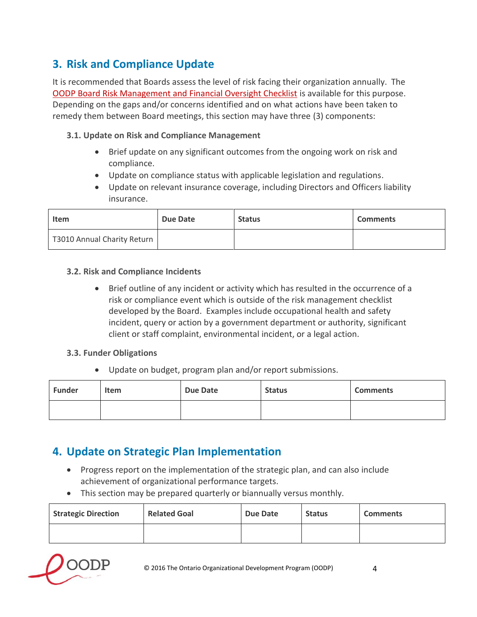# **3. Risk and Compliance Update**

It is recommended that Boards assess the level of risk facing their organization annually. The [OODP Board Risk Management and Financial Oversight Checklist](http://oodp.ca/product/board-risk-management-and-financial-oversight-checklist/) is available for this purpose. Depending on the gaps and/or concerns identified and on what actions have been taken to remedy them between Board meetings, this section may have three (3) components:

#### **3.1. Update on Risk and Compliance Management**

- Brief update on any significant outcomes from the ongoing work on risk and compliance.
- Update on compliance status with applicable legislation and regulations.
- Update on relevant insurance coverage, including Directors and Officers liability insurance.

| Item                        | Due Date | <b>Status</b> | <b>Comments</b> |
|-----------------------------|----------|---------------|-----------------|
| T3010 Annual Charity Return |          |               |                 |

#### **3.2. Risk and Compliance Incidents**

 Brief outline of any incident or activity which has resulted in the occurrence of a risk or compliance event which is outside of the risk management checklist developed by the Board. Examples include occupational health and safety incident, query or action by a government department or authority, significant client or staff complaint, environmental incident, or a legal action.

#### **3.3. Funder Obligations**

Update on budget, program plan and/or report submissions.

| <b>Funder</b> | <b>Item</b> | <b>Due Date</b> | <b>Status</b> | <b>Comments</b> |
|---------------|-------------|-----------------|---------------|-----------------|
|               |             |                 |               |                 |

## **4. Update on Strategic Plan Implementation**

- Progress report on the implementation of the strategic plan, and can also include achievement of organizational performance targets.
- This section may be prepared quarterly or biannually versus monthly.

| <b>Strategic Direction</b> | <b>Related Goal</b> | Due Date | <b>Status</b> | <b>Comments</b> |
|----------------------------|---------------------|----------|---------------|-----------------|
|                            |                     |          |               |                 |

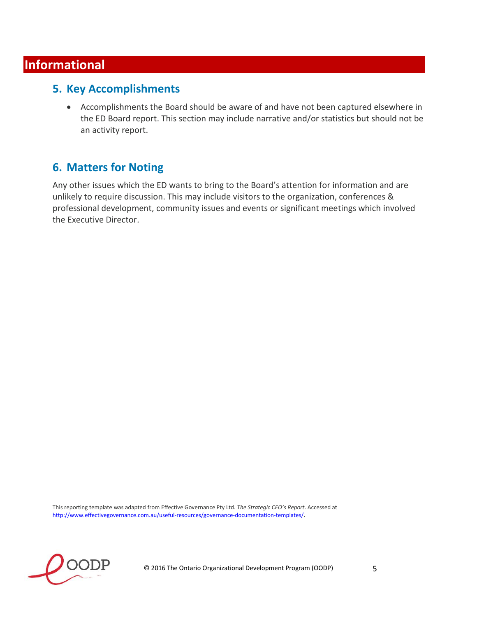# **Informational**

### **5. Key Accomplishments**

 Accomplishments the Board should be aware of and have not been captured elsewhere in the ED Board report. This section may include narrative and/or statistics but should not be an activity report.

## **6. Matters for Noting**

Any other issues which the ED wants to bring to the Board's attention for information and are unlikely to require discussion. This may include visitors to the organization, conferences & professional development, community issues and events or significant meetings which involved the Executive Director.

This reporting template was adapted from Effective Governance Pty Ltd. *The Strategic CEO's Report*. Accessed at [http://www.effectivegovernance.com.au/useful-resources/governance-documentation-templates/.](http://www.effectivegovernance.com.au/useful-resources/governance-documentation-templates/) 

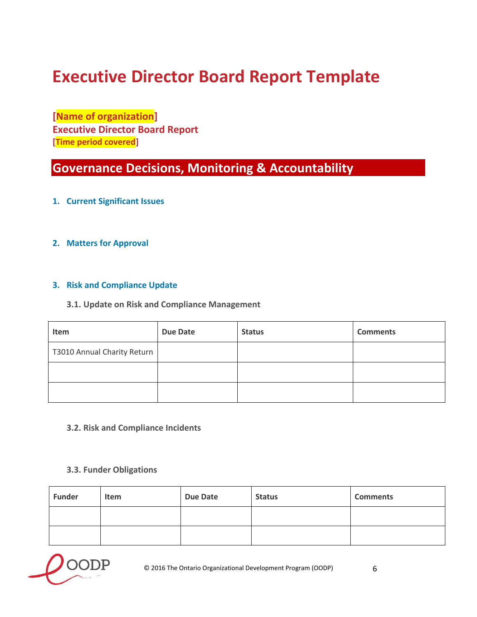# **Executive Director Board Report Template**

**[Name of organization] Executive Director Board Report [Time period covered]** 

# **Governance Decisions, Monitoring & Accountability**

- **1. Current Significant Issues**
- **2. Matters for Approval**

#### **3. Risk and Compliance Update**

#### **3.1. Update on Risk and Compliance Management**

| Item                        | <b>Due Date</b> | <b>Status</b> | <b>Comments</b> |
|-----------------------------|-----------------|---------------|-----------------|
| T3010 Annual Charity Return |                 |               |                 |
|                             |                 |               |                 |
|                             |                 |               |                 |

**3.2. Risk and Compliance Incidents**

#### **3.3. Funder Obligations**

| <b>Funder</b> | Item | <b>Due Date</b> | <b>Status</b> | <b>Comments</b> |
|---------------|------|-----------------|---------------|-----------------|
|               |      |                 |               |                 |
|               |      |                 |               |                 |